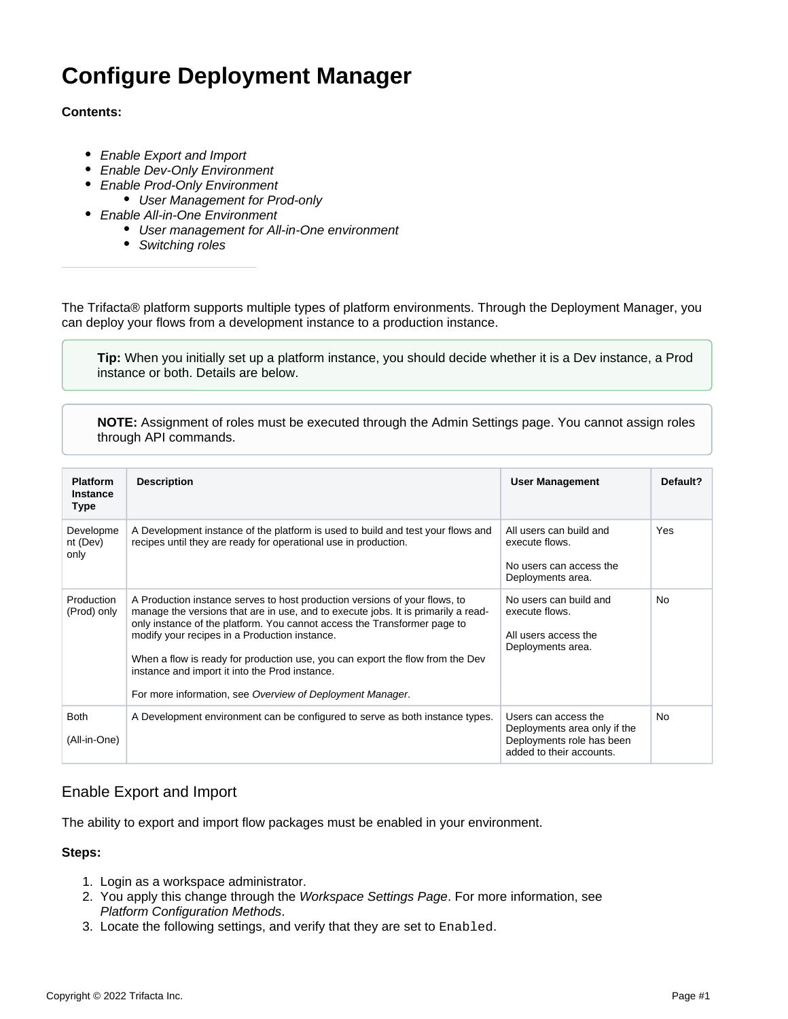# **Configure Deployment Manager**

## **Contents:**

- [Enable Export and Import](#page-0-0)
- [Enable Dev-Only Environment](#page-1-0)
- [Enable Prod-Only Environment](#page-1-1)
	- [User Management for Prod-only](#page-1-2)
- [Enable All-in-One Environment](#page-2-0)
	- [User management for All-in-One environment](#page-2-1)
	- [Switching roles](#page-2-2)

The Trifacta® platform supports multiple types of platform environments. Through the Deployment Manager, you can deploy your flows from a development instance to a production instance.

**Tip:** When you initially set up a platform instance, you should decide whether it is a Dev instance, a Prod instance or both. Details are below.

**NOTE:** Assignment of roles must be executed through the Admin Settings page. You cannot assign roles through API commands.

| <b>Platform</b><br><b>Instance</b><br><b>Type</b> | <b>Description</b>                                                                                                                                                                                                                                                                                                                                                                                                                                                                           | <b>User Management</b>                                                                                        | Default?  |
|---------------------------------------------------|----------------------------------------------------------------------------------------------------------------------------------------------------------------------------------------------------------------------------------------------------------------------------------------------------------------------------------------------------------------------------------------------------------------------------------------------------------------------------------------------|---------------------------------------------------------------------------------------------------------------|-----------|
| Developme<br>nt (Dev)<br>only                     | A Development instance of the platform is used to build and test your flows and<br>recipes until they are ready for operational use in production.                                                                                                                                                                                                                                                                                                                                           | All users can build and<br>execute flows.<br>No users can access the<br>Deployments area.                     | Yes       |
| Production<br>(Prod) only                         | A Production instance serves to host production versions of your flows, to<br>manage the versions that are in use, and to execute jobs. It is primarily a read-<br>only instance of the platform. You cannot access the Transformer page to<br>modify your recipes in a Production instance.<br>When a flow is ready for production use, you can export the flow from the Dev<br>instance and import it into the Prod instance.<br>For more information, see Overview of Deployment Manager. | No users can build and<br>execute flows.<br>All users access the<br>Deployments area.                         | <b>No</b> |
| <b>Both</b><br>(All-in-One)                       | A Development environment can be configured to serve as both instance types.                                                                                                                                                                                                                                                                                                                                                                                                                 | Users can access the<br>Deployments area only if the<br>Deployments role has been<br>added to their accounts. | <b>No</b> |

# <span id="page-0-0"></span>Enable Export and Import

The ability to export and import flow packages must be enabled in your environment.

## **Steps:**

- 1. Login as a workspace administrator.
- 2. You apply this change through the [Workspace Settings Page](https://docs.trifacta.com/display/r082/Workspace+Settings+Page). For more information, see [Platform Configuration Methods](https://docs.trifacta.com/display/r082/Platform+Configuration+Methods).
- 3. Locate the following settings, and verify that they are set to Enabled.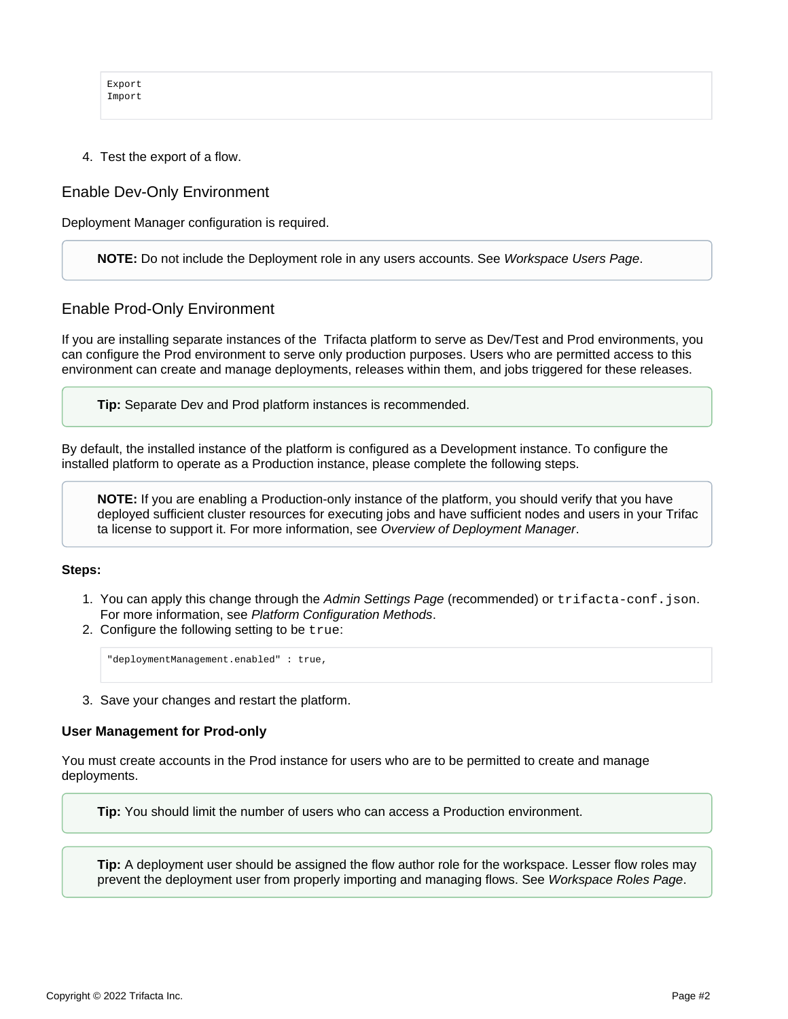```
Export
Import
```
4. Test the export of a flow.

## <span id="page-1-0"></span>Enable Dev-Only Environment

Deployment Manager configuration is required.

**NOTE:** Do not include the Deployment role in any users accounts. See [Workspace Users Page](https://docs.trifacta.com/display/r082/Workspace+Users+Page).

## <span id="page-1-1"></span>Enable Prod-Only Environment

If you are installing separate instances of the Trifacta platform to serve as Dev/Test and Prod environments, you can configure the Prod environment to serve only production purposes. Users who are permitted access to this environment can create and manage deployments, releases within them, and jobs triggered for these releases.

**Tip:** Separate Dev and Prod platform instances is recommended.

By default, the installed instance of the platform is configured as a Development instance. To configure the installed platform to operate as a Production instance, please complete the following steps.

**NOTE:** If you are enabling a Production-only instance of the platform, you should verify that you have deployed sufficient cluster resources for executing jobs and have sufficient nodes and users in your Trifac ta license to support it. For more information, see [Overview of Deployment Manager](https://docs.trifacta.com/display/r082/Overview+of+Deployment+Manager).

#### **Steps:**

- 1. You can apply this change through the [Admin Settings Page](https://docs.trifacta.com/display/r082/Admin+Settings+Page) (recommended) or trifacta-conf.json. For more information, see [Platform Configuration Methods](https://docs.trifacta.com/display/r082/Platform+Configuration+Methods).
- 2. Configure the following setting to be true:

"deploymentManagement.enabled" : true,

3. Save your changes and restart the platform.

#### <span id="page-1-2"></span>**User Management for Prod-only**

You must create accounts in the Prod instance for users who are to be permitted to create and manage deployments.

**Tip:** You should limit the number of users who can access a Production environment.

**Tip:** A deployment user should be assigned the flow author role for the workspace. Lesser flow roles may prevent the deployment user from properly importing and managing flows. See [Workspace Roles Page](https://docs.trifacta.com/display/r082/Workspace+Roles+Page).